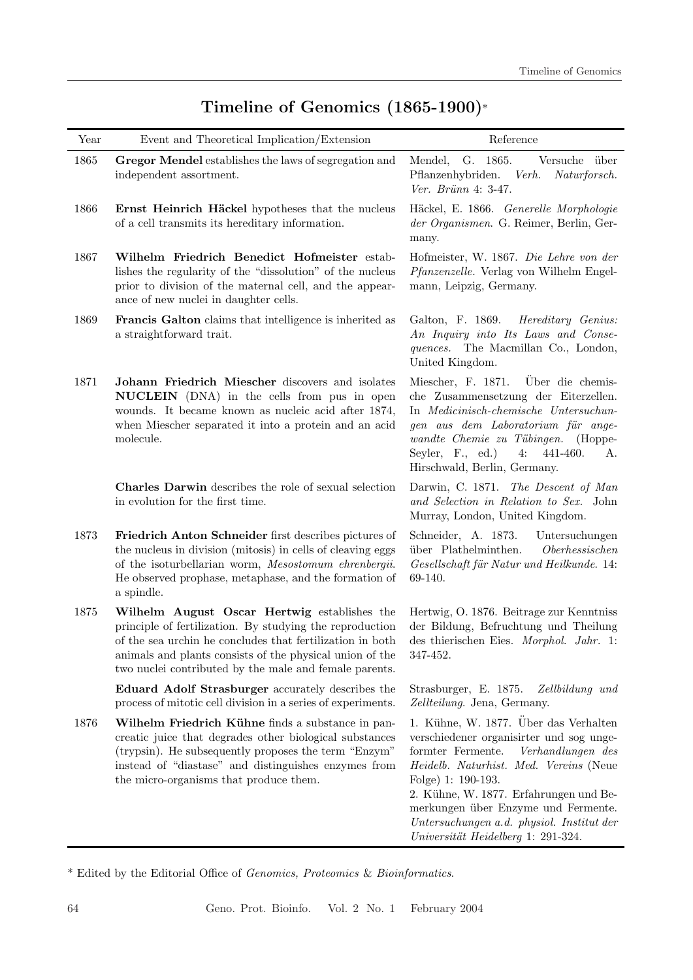| Year | Event and Theoretical Implication/Extension                                                                                                                                                                                                                                                 | ${\bf Reference}$                                                                                                                                                                                                                                                                                                                                               |
|------|---------------------------------------------------------------------------------------------------------------------------------------------------------------------------------------------------------------------------------------------------------------------------------------------|-----------------------------------------------------------------------------------------------------------------------------------------------------------------------------------------------------------------------------------------------------------------------------------------------------------------------------------------------------------------|
| 1865 | Gregor Mendel establishes the laws of segregation and<br>independent assortment.                                                                                                                                                                                                            | G. 1865.<br>Mendel,<br>Versuche über<br>Pflanzenhybriden.<br>Verh. Naturforsch.<br>Ver. Brünn 4: 3-47.                                                                                                                                                                                                                                                          |
| 1866 | Ernst Heinrich Häckel hypotheses that the nucleus<br>of a cell transmits its hereditary information.                                                                                                                                                                                        | Häckel, E. 1866. Generelle Morphologie<br>der Organismen. G. Reimer, Berlin, Ger-<br>many.                                                                                                                                                                                                                                                                      |
| 1867 | Wilhelm Friedrich Benedict Hofmeister estab-<br>lishes the regularity of the "dissolution" of the nucleus<br>prior to division of the maternal cell, and the appear-<br>ance of new nuclei in daughter cells.                                                                               | Hofmeister, W. 1867. Die Lehre von der<br>Pfanzenzelle. Verlag von Wilhelm Engel-<br>mann, Leipzig, Germany.                                                                                                                                                                                                                                                    |
| 1869 | Francis Galton claims that intelligence is inherited as<br>a straightforward trait.                                                                                                                                                                                                         | Galton, F. 1869. Hereditary Genius:<br>An Inquiry into Its Laws and Conse-<br>quences. The Macmillan Co., London,<br>United Kingdom.                                                                                                                                                                                                                            |
| 1871 | Johann Friedrich Miescher discovers and isolates<br>NUCLEIN (DNA) in the cells from pus in open<br>wounds. It became known as nucleic acid after 1874,<br>when Miescher separated it into a protein and an acid<br>molecule.                                                                | Miescher, F. 1871. Über die chemis-<br>che Zusammensetzung der Eiterzellen.<br>In Medicinisch-chemische Untersuchun-<br>gen aus dem Laboratorium für ange-<br>wandte Chemie zu Tübingen. (Hoppe-<br>Seyler, F., ed.)<br>441-460.<br>4:<br>A.<br>Hirschwald, Berlin, Germany.                                                                                    |
|      | Charles Darwin describes the role of sexual selection<br>in evolution for the first time.                                                                                                                                                                                                   | Darwin, C. 1871. The Descent of Man<br>and Selection in Relation to Sex. John<br>Murray, London, United Kingdom.                                                                                                                                                                                                                                                |
| 1873 | Friedrich Anton Schneider first describes pictures of<br>the nucleus in division (mitosis) in cells of cleaving eggs<br>of the isoturbellarian worm, Mesostomum ehrenbergii.<br>He observed prophase, metaphase, and the formation of<br>a spindle.                                         | Schneider, A. 1873.<br>Untersuchungen<br>über Plathelminthen.<br>Oberhessischen<br>Gesellschaft für Natur und Heilkunde. 14:<br>69-140.                                                                                                                                                                                                                         |
| 1875 | Wilhelm August Oscar Hertwig establishes the<br>principle of fertilization. By studying the reproduction<br>of the sea urchin he concludes that fertilization in both<br>animals and plants consists of the physical union of the<br>two nuclei contributed by the male and female parents. | Hertwig, O. 1876. Beitrage zur Kenntniss<br>der Bildung, Befruchtung und Theilung<br>des thierischen Eies. Morphol. Jahr. 1:<br>347-452.                                                                                                                                                                                                                        |
|      | Eduard Adolf Strasburger accurately describes the<br>process of mitotic cell division in a series of experiments.                                                                                                                                                                           | Strasburger, E. 1875.<br>Zellbildung und<br>Zellteilung. Jena, Germany.                                                                                                                                                                                                                                                                                         |
| 1876 | Wilhelm Friedrich Kühne finds a substance in pan-<br>creatic juice that degrades other biological substances<br>(trypsin). He subsequently proposes the term "Enzym"<br>instead of "diastase" and distinguishes enzymes from<br>the micro-organisms that produce them.                      | 1. Kühne, W. 1877. Über das Verhalten<br>verschiedener organisirter und sog unge-<br>formter Fermente.<br>Verhandlungen des<br>Heidelb. Naturhist. Med. Vereins (Neue<br>Folge) 1: 190-193.<br>2. Kühne, W. 1877. Erfahrungen und Be-<br>merkungen über Enzyme und Fermente.<br>Untersuchungen a.d. physiol. Institut der<br>Universität Heidelberg 1: 291-324. |

## Timeline of Genomics (1865-1900)\*

\* Edited by the Editorial Office of Genomics, Proteomics & Bioinformatics.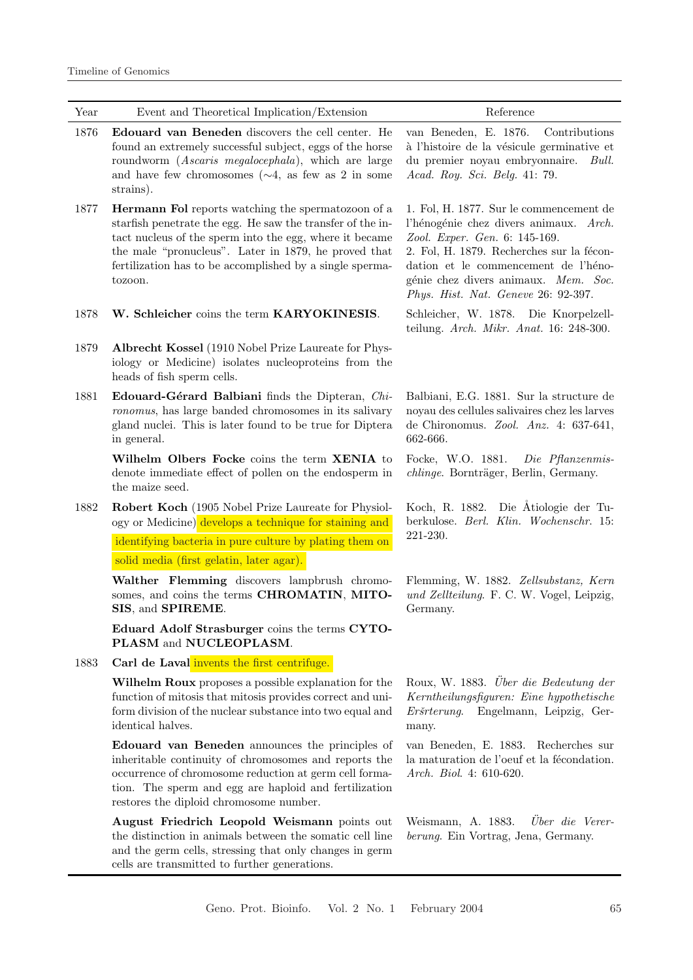| Year | Event and Theoretical Implication/Extension                                                                                                                                                                                                                                                                | Reference                                                                                                                                                                                                                                                                              |
|------|------------------------------------------------------------------------------------------------------------------------------------------------------------------------------------------------------------------------------------------------------------------------------------------------------------|----------------------------------------------------------------------------------------------------------------------------------------------------------------------------------------------------------------------------------------------------------------------------------------|
| 1876 | Edouard van Beneden discovers the cell center. He<br>found an extremely successful subject, eggs of the horse<br>roundworm (Ascaris megalocephala), which are large<br>and have few chromosomes $(\sim 4, \text{ as } \text{few} \text{ as } 2 \text{ in some})$<br>strains).                              | van Beneden, E. 1876.<br>Contributions<br>à l'histoire de la vésicule germinative et<br>du premier noyau embryonnaire.<br>Bull.<br>Acad. Roy. Sci. Belg. 41: 79.                                                                                                                       |
| 1877 | Hermann Fol reports watching the spermatozoon of a<br>starfish penetrate the egg. He saw the transfer of the in-<br>tact nucleus of the sperm into the egg, where it became<br>the male "pronucleus". Later in 1879, he proved that<br>fertilization has to be accomplished by a single sperma-<br>tozoon. | 1. Fol, H. 1877. Sur le commencement de<br>l'hénogénie chez divers animaux. Arch.<br>Zool. Exper. Gen. 6: 145-169.<br>2. Fol, H. 1879. Recherches sur la fécon-<br>dation et le commencement de l'héno-<br>génie chez divers animaux. Mem. Soc.<br>Phys. Hist. Nat. Geneve 26: 92-397. |
| 1878 | W. Schleicher coins the term KARYOKINESIS.                                                                                                                                                                                                                                                                 | Schleicher, W. 1878. Die Knorpelzell-<br>teilung. Arch. Mikr. Anat. 16: 248-300.                                                                                                                                                                                                       |
| 1879 | Albrecht Kossel (1910 Nobel Prize Laureate for Phys-<br>iology or Medicine) isolates nucleoproteins from the<br>heads of fish sperm cells.                                                                                                                                                                 |                                                                                                                                                                                                                                                                                        |
| 1881 | Edouard-Gérard Balbiani finds the Dipteran, Chi-<br>ronomus, has large banded chromosomes in its salivary<br>gland nuclei. This is later found to be true for Diptera<br>in general.                                                                                                                       | Balbiani, E.G. 1881. Sur la structure de<br>noyau des cellules salivaires chez les larves<br>de Chironomus. Zool. Anz. 4: 637-641,<br>662-666.                                                                                                                                         |
|      | Wilhelm Olbers Focke coins the term XENIA to<br>denote immediate effect of pollen on the endosperm in<br>the maize seed.                                                                                                                                                                                   | Focke, W.O. 1881.<br>Die Pflanzenmis-<br>chlinge. Bornträger, Berlin, Germany.                                                                                                                                                                                                         |
| 1882 | Robert Koch (1905 Nobel Prize Laureate for Physiol-<br>ogy or Medicine) develops a technique for staining and<br>identifying bacteria in pure culture by plating them on                                                                                                                                   | Koch, R. 1882. Die Atiologie der Tu-<br>berkulose. Berl. Klin. Wochenschr. 15:<br>221-230.                                                                                                                                                                                             |
|      | solid media (first gelatin, later agar).                                                                                                                                                                                                                                                                   |                                                                                                                                                                                                                                                                                        |
|      | Walther Flemming discovers lampbrush chromo-<br>somes, and coins the terms CHROMATIN, MITO-<br>SIS, and SPIREME.                                                                                                                                                                                           | Flemming, W. 1882. Zellsubstanz, Kern<br>und Zellteilung. F. C. W. Vogel, Leipzig,<br>Germany.                                                                                                                                                                                         |
|      | Eduard Adolf Strasburger coins the terms CYTO-<br>PLASM and NUCLEOPLASM.                                                                                                                                                                                                                                   |                                                                                                                                                                                                                                                                                        |
| 1883 | Carl de Laval invents the first centrifuge.                                                                                                                                                                                                                                                                |                                                                                                                                                                                                                                                                                        |
|      | Wilhelm Roux proposes a possible explanation for the<br>function of mitosis that mitosis provides correct and uni-<br>form division of the nuclear substance into two equal and<br>identical halves.                                                                                                       | Roux, W. 1883. Uber die Bedeutung der<br>Kerntheilungsfiguren: Eine hypothetische<br>Eršrterung.<br>Engelmann, Leipzig, Ger-<br>many.                                                                                                                                                  |
|      | Edouard van Beneden announces the principles of<br>inheritable continuity of chromosomes and reports the<br>occurrence of chromosome reduction at germ cell forma-<br>tion. The sperm and egg are haploid and fertilization<br>restores the diploid chromosome number.                                     | van Beneden, E. 1883. Recherches sur<br>la maturation de l'oeuf et la fécondation.<br>Arch. Biol. 4: 610-620.                                                                                                                                                                          |
|      | August Friedrich Leopold Weismann points out<br>the distinction in animals between the somatic cell line<br>and the germ cells, stressing that only changes in germ<br>cells are transmitted to further generations.                                                                                       | Über die Verer-<br>Weismann, A. 1883.<br>berung. Ein Vortrag, Jena, Germany.                                                                                                                                                                                                           |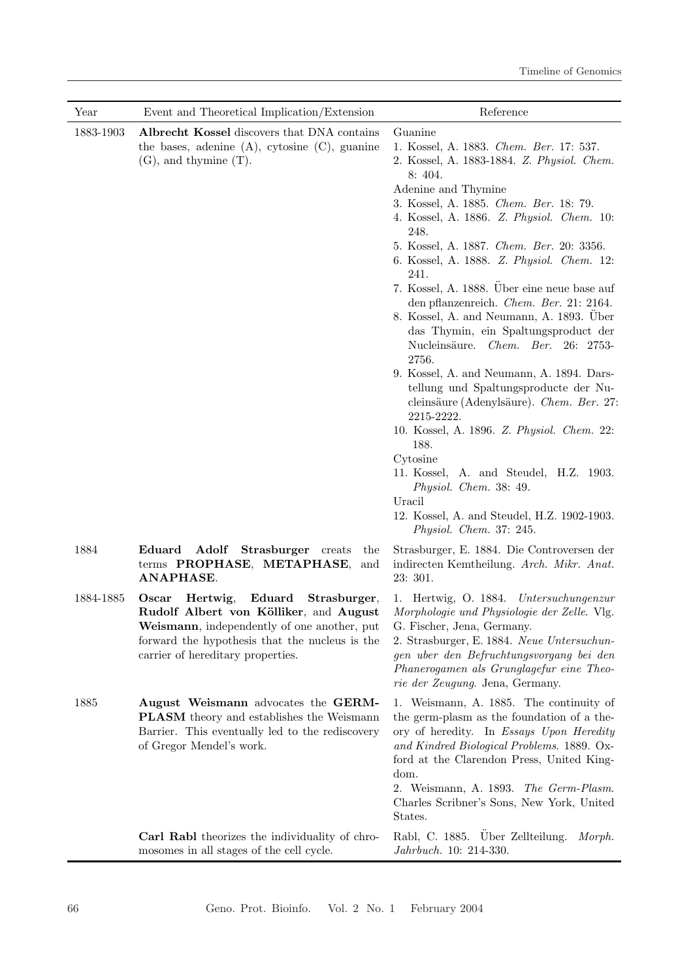| Year      | Event and Theoretical Implication/Extension                                                                                                                                                                                 | Reference                                                                                                                                                                                                                                                                                                                                                                                                                                                                                                                                                                                                                                                                                                                                                                                                                                                                                                                                 |
|-----------|-----------------------------------------------------------------------------------------------------------------------------------------------------------------------------------------------------------------------------|-------------------------------------------------------------------------------------------------------------------------------------------------------------------------------------------------------------------------------------------------------------------------------------------------------------------------------------------------------------------------------------------------------------------------------------------------------------------------------------------------------------------------------------------------------------------------------------------------------------------------------------------------------------------------------------------------------------------------------------------------------------------------------------------------------------------------------------------------------------------------------------------------------------------------------------------|
| 1883-1903 | Albrecht Kossel discovers that DNA contains<br>the bases, adenine $(A)$ , cytosine $(C)$ , guanine<br>$(G)$ , and thymine $(T)$ .                                                                                           | Guanine<br>1. Kossel, A. 1883. Chem. Ber. 17: 537.<br>2. Kossel, A. 1883-1884. Z. Physiol. Chem.<br>8: 404.<br>Adenine and Thymine<br>3. Kossel, A. 1885. Chem. Ber. 18: 79.<br>4. Kossel, A. 1886. Z. Physiol. Chem. 10:<br>248.<br>5. Kossel, A. 1887. Chem. Ber. 20: 3356.<br>6. Kossel, A. 1888. Z. Physiol. Chem. 12:<br>241.<br>7. Kossel, A. 1888. Über eine neue base auf<br>den pflanzenreich. Chem. Ber. 21: 2164.<br>8. Kossel, A. and Neumann, A. 1893. Über<br>das Thymin, ein Spaltungsproduct der<br>Nucleinsäure. Chem. Ber. 26: 2753-<br>2756.<br>9. Kossel, A. and Neumann, A. 1894. Dars-<br>tellung und Spaltungsproducte der Nu-<br>cleinsäure (Adenylsäure). Chem. Ber. 27:<br>2215-2222.<br>10. Kossel, A. 1896. Z. Physiol. Chem. 22:<br>188.<br>Cytosine<br>11. Kossel, A. and Steudel, H.Z. 1903.<br>Physiol. Chem. 38: 49.<br>Uracil<br>12. Kossel, A. and Steudel, H.Z. 1902-1903.<br>Physiol. Chem. 37: 245. |
| 1884      | Adolf<br>Eduard<br>Strasburger creats<br>the<br>terms PROPHASE, METAPHASE,<br>and<br>ANAPHASE.                                                                                                                              | Strasburger, E. 1884. Die Controversen der<br>indirecten Kemtheilung. Arch. Mikr. Anat.<br>23:301.                                                                                                                                                                                                                                                                                                                                                                                                                                                                                                                                                                                                                                                                                                                                                                                                                                        |
| 1884-1885 | Eduard<br>Hertwig,<br>Strasburger,<br>Oscar<br>Rudolf Albert von Kölliker, and August<br>Weismann, independently of one another, put<br>forward the hypothesis that the nucleus is the<br>carrier of hereditary properties. | 1. Hertwig, O. 1884. Untersuchungenzur<br><i>Morphologie und Physiologie der Zelle.</i> Vlg.<br>G. Fischer, Jena, Germany.<br>2. Strasburger, E. 1884. Neue Untersuchun-<br>gen uber den Befruchtungsvorgang bei den<br>Phanerogamen als Grunglagefur eine Theo-<br>rie der Zeugung. Jena, Germany.                                                                                                                                                                                                                                                                                                                                                                                                                                                                                                                                                                                                                                       |
| 1885      | August Weismann advocates the GERM-<br><b>PLASM</b> theory and establishes the Weismann<br>Barrier. This eventually led to the rediscovery<br>of Gregor Mendel's work.                                                      | 1. Weismann, A. 1885. The continuity of<br>the germ-plasm as the foundation of a the-<br>ory of heredity. In Essays Upon Heredity<br>and Kindred Biological Problems. 1889. Ox-<br>ford at the Clarendon Press, United King-<br>dom.<br>2. Weismann, A. 1893. The Germ-Plasm.<br>Charles Scribner's Sons, New York, United<br>States.                                                                                                                                                                                                                                                                                                                                                                                                                                                                                                                                                                                                     |
|           | Carl Rabl theorizes the individuality of chro-<br>mosomes in all stages of the cell cycle.                                                                                                                                  | Rabl, C. 1885. Über Zellteilung. Morph.<br>Jahrbuch. 10: 214-330.                                                                                                                                                                                                                                                                                                                                                                                                                                                                                                                                                                                                                                                                                                                                                                                                                                                                         |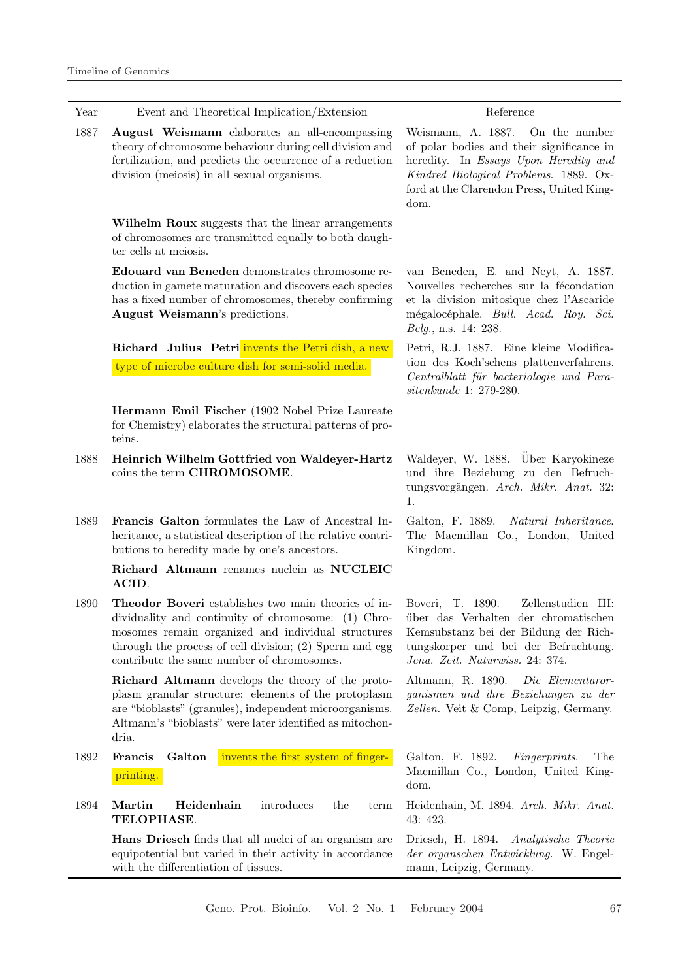| Year     | Event and Theoretical Implication/Extension                                                                                                                                                                                                                               | Reference                                                                                                                                                                                                                |
|----------|---------------------------------------------------------------------------------------------------------------------------------------------------------------------------------------------------------------------------------------------------------------------------|--------------------------------------------------------------------------------------------------------------------------------------------------------------------------------------------------------------------------|
| 1887     | <b>August Weismann</b> elaborates an all-encompassing<br>theory of chromosome behaviour during cell division and<br>fertilization, and predicts the occurrence of a reduction<br>division (meiosis) in all sexual organisms.                                              | Weismann, A. 1887.<br>On the number<br>of polar bodies and their significance in<br>heredity. In Essays Upon Heredity and<br>Kindred Biological Problems. 1889. Ox-<br>ford at the Clarendon Press, United King-<br>dom. |
|          | Wilhelm Roux suggests that the linear arrangements<br>of chromosomes are transmitted equally to both daugh-<br>ter cells at meiosis.                                                                                                                                      |                                                                                                                                                                                                                          |
|          | Edouard van Beneden demonstrates chromosome re-<br>duction in gamete maturation and discovers each species<br>has a fixed number of chromosomes, thereby confirming<br>August Weismann's predictions.                                                                     | van Beneden, E. and Neyt, A. 1887.<br>Nouvelles recherches sur la fécondation<br>et la division mitosique chez l'Ascaride<br>mégalocéphale. Bull. Acad. Roy. Sci.<br><i>Belg.</i> , n.s. 14: 238.                        |
|          | Richard Julius Petri invents the Petri dish, a new<br>type of microbe culture dish for semi-solid media.                                                                                                                                                                  | Petri, R.J. 1887. Eine kleine Modifica-<br>tion des Koch'schens plattenverfahrens.<br>Centralblatt für bacteriologie und Para-<br>sitenkunde 1: 279-280.                                                                 |
|          | Hermann Emil Fischer (1902 Nobel Prize Laureate<br>for Chemistry) elaborates the structural patterns of pro-<br>teins.                                                                                                                                                    |                                                                                                                                                                                                                          |
| 1888     | Heinrich Wilhelm Gottfried von Waldeyer-Hartz<br>coins the term CHROMOSOME.                                                                                                                                                                                               | Waldeyer, W. 1888. Uber Karyokineze<br>und ihre Beziehung zu den Befruch-<br>tungsvorgängen. Arch. Mikr. Anat. 32:<br>1.                                                                                                 |
| 1889     | Francis Galton formulates the Law of Ancestral In-<br>heritance, a statistical description of the relative contri-<br>butions to heredity made by one's ancestors.                                                                                                        | Galton, F. 1889.<br>Natural Inheritance.<br>The Macmillan Co., London, United<br>Kingdom.                                                                                                                                |
|          | Richard Altmann renames nuclein as NUCLEIC<br>ACID.                                                                                                                                                                                                                       |                                                                                                                                                                                                                          |
| 1890     | Theodor Boveri establishes two main theories of in-<br>dividuality and continuity of chromosome: (1) Chro-<br>mosomes remain organized and individual structures<br>through the process of cell division; (2) Sperm and egg<br>contribute the same number of chromosomes. | Boveri, T. 1890.<br>Zellenstudien III:<br>über das Verhalten der chromatischen<br>Kemsubstanz bei der Bildung der Rich-<br>tungskorper und bei der Befruchtung.<br>Jena. Zeit. Naturwiss. 24: 374.                       |
|          | Richard Altmann develops the theory of the proto-<br>plasm granular structure: elements of the protoplasm<br>are "bioblasts" (granules), independent microorganisms.<br>Altmann's "bioblasts" were later identified as mitochon-<br>dria.                                 | Altmann, R. 1890.<br>Die Elementaror-<br>ganismen und ihre Beziehungen zu der<br>Zellen. Veit & Comp, Leipzig, Germany.                                                                                                  |
| 1892     | invents the first system of finger-<br>Francis<br>Galton                                                                                                                                                                                                                  | Galton, F. 1892.<br><i>Fingerprints.</i><br>The                                                                                                                                                                          |
|          | printing.                                                                                                                                                                                                                                                                 | Macmillan Co., London, United King-<br>dom.                                                                                                                                                                              |
| $1894\,$ | Martin<br>Heidenhain<br>introduces<br>the<br>term<br>TELOPHASE.                                                                                                                                                                                                           | Heidenhain, M. 1894. Arch. Mikr. Anat.<br>43: 423.                                                                                                                                                                       |
|          | Hans Driesch finds that all nuclei of an organism are<br>equipotential but varied in their activity in accordance<br>with the differentiation of tissues.                                                                                                                 | Driesch, H. 1894. Analytische Theorie<br>der organischen Entwicklung. W. Engel-<br>mann, Leipzig, Germany.                                                                                                               |